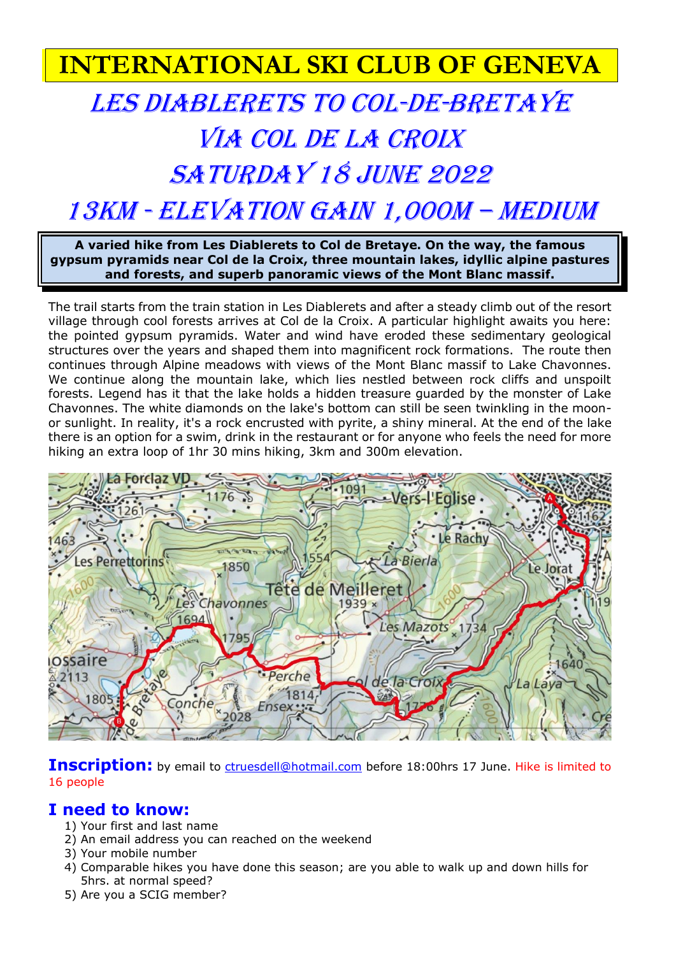# **INTERNATIONAL SKI CLUB OF GENEVA**

# LES DIABLERETS TO COL-DE-BRETAYE VIA COL de La Croix SATURDAY 18 JUNE 2022 13km - Elevation gain 1,000M – Medium

**A varied hike from Les Diablerets to Col de Bretaye. On the way, the famous gypsum pyramids near Col de la Croix, three mountain lakes, idyllic alpine pastures and forests, and superb panoramic views of the Mont Blanc massif.**

The trail starts from the train station in Les Diablerets and after a steady climb out of the resort village through cool forests arrives at Col de la Croix. A particular highlight awaits you here: the pointed gypsum pyramids. Water and wind have eroded these sedimentary geological structures over the years and shaped them into magnificent rock formations. The route then continues through Alpine meadows with views of the Mont Blanc massif to Lake Chavonnes. We continue along the mountain lake, which lies nestled between rock cliffs and unspoilt forests. Legend has it that the lake holds a hidden treasure guarded by the monster of Lake Chavonnes. The white diamonds on the lake's bottom can still be seen twinkling in the moonor sunlight. In reality, it's a rock encrusted with pyrite, a shiny mineral. At the end of the lake there is an option for a swim, drink in the restaurant or for anyone who feels the need for more hiking an extra loop of 1hr 30 mins hiking, 3km and 300m elevation.



**Inscription:** by email to **ctruesdell@hotmail.com** before 18:00hrs 17 June. Hike is limited to 16 people

## **I need to know:**

- 1) Your first and last name
- 2) An email address you can reached on the weekend
- 3) Your mobile number
- 4) Comparable hikes you have done this season; are you able to walk up and down hills for 5hrs. at normal speed?
- 5) Are you a SCIG member?